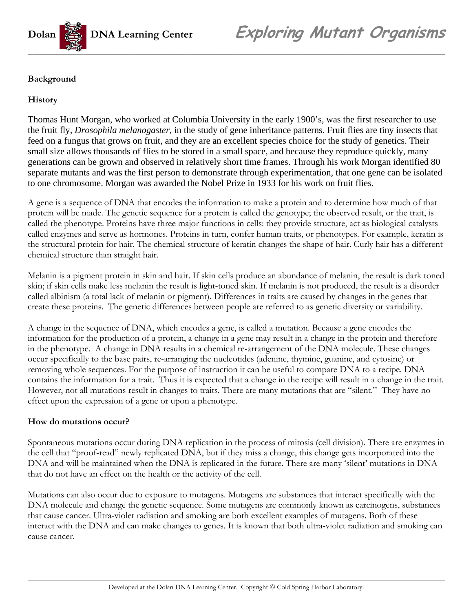

# **Background**

# **History**

Thomas Hunt Morgan, who worked at Columbia University in the early 1900's, was the first researcher to use the fruit fly, *Drosophila melanogaster,* in the study of gene inheritance patterns. Fruit flies are tiny insects that feed on a fungus that grows on fruit, and they are an excellent species choice for the study of genetics. Their small size allows thousands of flies to be stored in a small space, and because they reproduce quickly, many generations can be grown and observed in relatively short time frames. Through his work Morgan identified 80 separate mutants and was the first person to demonstrate through experimentation, that one gene can be isolated to one chromosome. Morgan was awarded the Nobel Prize in 1933 for his work on fruit flies.

A gene is a sequence of DNA that encodes the information to make a protein and to determine how much of that protein will be made. The genetic sequence for a protein is called the genotype; the observed result, or the trait, is called the phenotype. Proteins have three major functions in cells: they provide structure, act as biological catalysts called enzymes and serve as hormones. Proteins in turn, confer human traits, or phenotypes. For example, keratin is the structural protein for hair. The chemical structure of keratin changes the shape of hair. Curly hair has a different chemical structure than straight hair.

Melanin is a pigment protein in skin and hair. If skin cells produce an abundance of melanin, the result is dark toned skin; if skin cells make less melanin the result is light-toned skin. If melanin is not produced, the result is a disorder called albinism (a total lack of melanin or pigment). Differences in traits are caused by changes in the genes that create these proteins. The genetic differences between people are referred to as genetic diversity or variability.

A change in the sequence of DNA, which encodes a gene, is called a mutation. Because a gene encodes the information for the production of a protein, a change in a gene may result in a change in the protein and therefore in the phenotype. A change in DNA results in a chemical re-arrangement of the DNA molecule. These changes occur specifically to the base pairs, re-arranging the nucleotides (adenine, thymine, guanine, and cytosine) or removing whole sequences. For the purpose of instruction it can be useful to compare DNA to a recipe. DNA contains the information for a trait. Thus it is expected that a change in the recipe will result in a change in the trait. However, not all mutations result in changes to traits. There are many mutations that are "silent." They have no effect upon the expression of a gene or upon a phenotype.

# **How do mutations occur?**

Spontaneous mutations occur during DNA replication in the process of mitosis (cell division). There are enzymes in the cell that "proof-read" newly replicated DNA, but if they miss a change, this change gets incorporated into the DNA and will be maintained when the DNA is replicated in the future. There are many 'silent' mutations in DNA that do not have an effect on the health or the activity of the cell.

Mutations can also occur due to exposure to mutagens. Mutagens are substances that interact specifically with the DNA molecule and change the genetic sequence. Some mutagens are commonly known as carcinogens, substances that cause cancer. Ultra-violet radiation and smoking are both excellent examples of mutagens. Both of these interact with the DNA and can make changes to genes. It is known that both ultra-violet radiation and smoking can cause cancer.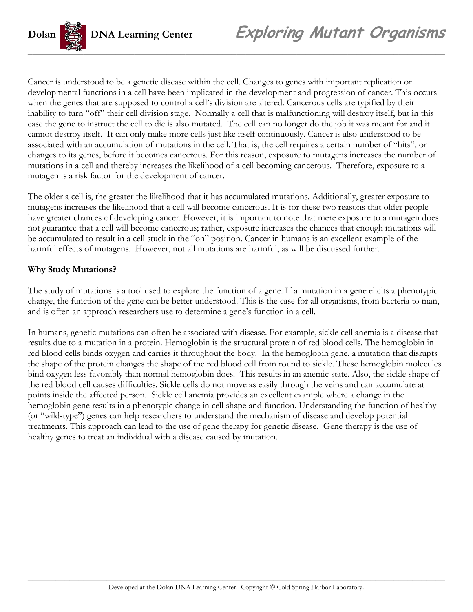

Cancer is understood to be a genetic disease within the cell. Changes to genes with important replication or developmental functions in a cell have been implicated in the development and progression of cancer. This occurs when the genes that are supposed to control a cell's division are altered. Cancerous cells are typified by their inability to turn "off" their cell division stage. Normally a cell that is malfunctioning will destroy itself, but in this case the gene to instruct the cell to die is also mutated. The cell can no longer do the job it was meant for and it cannot destroy itself. It can only make more cells just like itself continuously. Cancer is also understood to be associated with an accumulation of mutations in the cell. That is, the cell requires a certain number of "hits", or changes to its genes, before it becomes cancerous. For this reason, exposure to mutagens increases the number of mutations in a cell and thereby increases the likelihood of a cell becoming cancerous. Therefore, exposure to a mutagen is a risk factor for the development of cancer.

The older a cell is, the greater the likelihood that it has accumulated mutations. Additionally, greater exposure to mutagens increases the likelihood that a cell will become cancerous. It is for these two reasons that older people have greater chances of developing cancer. However, it is important to note that mere exposure to a mutagen does not guarantee that a cell will become cancerous; rather, exposure increases the chances that enough mutations will be accumulated to result in a cell stuck in the "on" position. Cancer in humans is an excellent example of the harmful effects of mutagens. However, not all mutations are harmful, as will be discussed further.

# **Why Study Mutations?**

The study of mutations is a tool used to explore the function of a gene. If a mutation in a gene elicits a phenotypic change, the function of the gene can be better understood. This is the case for all organisms, from bacteria to man, and is often an approach researchers use to determine a gene's function in a cell.

In humans, genetic mutations can often be associated with disease. For example, sickle cell anemia is a disease that results due to a mutation in a protein. Hemoglobin is the structural protein of red blood cells. The hemoglobin in red blood cells binds oxygen and carries it throughout the body. In the hemoglobin gene, a mutation that disrupts the shape of the protein changes the shape of the red blood cell from round to sickle. These hemoglobin molecules bind oxygen less favorably than normal hemoglobin does. This results in an anemic state. Also, the sickle shape of the red blood cell causes difficulties. Sickle cells do not move as easily through the veins and can accumulate at points inside the affected person. Sickle cell anemia provides an excellent example where a change in the hemoglobin gene results in a phenotypic change in cell shape and function. Understanding the function of healthy (or "wild-type") genes can help researchers to understand the mechanism of disease and develop potential treatments. This approach can lead to the use of gene therapy for genetic disease. Gene therapy is the use of healthy genes to treat an individual with a disease caused by mutation.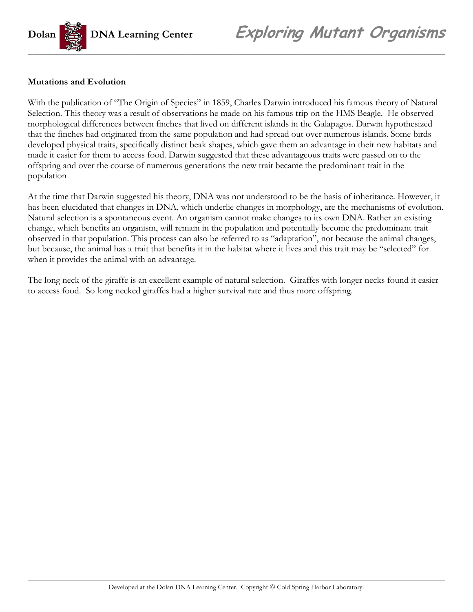

### **Mutations and Evolution**

With the publication of "The Origin of Species" in 1859, Charles Darwin introduced his famous theory of Natural Selection. This theory was a result of observations he made on his famous trip on the HMS Beagle. He observed morphological differences between finches that lived on different islands in the Galapagos. Darwin hypothesized that the finches had originated from the same population and had spread out over numerous islands. Some birds developed physical traits, specifically distinct beak shapes, which gave them an advantage in their new habitats and made it easier for them to access food. Darwin suggested that these advantageous traits were passed on to the offspring and over the course of numerous generations the new trait became the predominant trait in the population

At the time that Darwin suggested his theory, DNA was not understood to be the basis of inheritance. However, it has been elucidated that changes in DNA, which underlie changes in morphology, are the mechanisms of evolution. Natural selection is a spontaneous event. An organism cannot make changes to its own DNA. Rather an existing change, which benefits an organism, will remain in the population and potentially become the predominant trait observed in that population. This process can also be referred to as "adaptation", not because the animal changes, but because, the animal has a trait that benefits it in the habitat where it lives and this trait may be "selected" for when it provides the animal with an advantage.

The long neck of the giraffe is an excellent example of natural selection. Giraffes with longer necks found it easier to access food. So long necked giraffes had a higher survival rate and thus more offspring.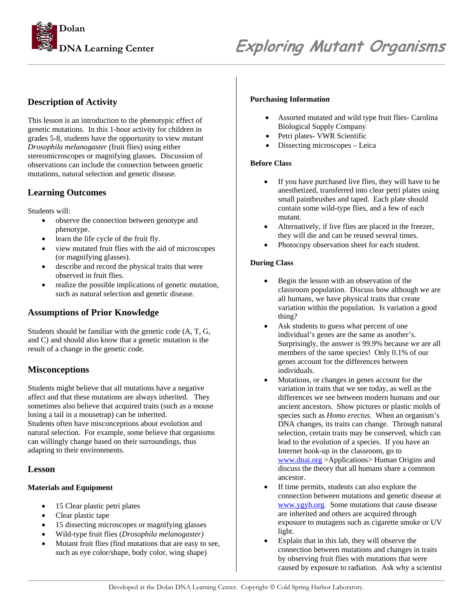

### **Description of Activity**

This lesson is an introduction to the phenotypic effect of genetic mutations. In this 1-hour activity for children in grades 5-8, students have the opportunity to view mutant *Drosophila melanogaster* (fruit flies) using either stereomicroscopes or magnifying glasses. Discussion of observations can include the connection between genetic mutations, natural selection and genetic disease.

### **Learning Outcomes**

Students will:

- observe the connection between genotype and phenotype.
- learn the life cycle of the fruit fly.
- view mutated fruit flies with the aid of microscopes (or magnifying glasses).
- describe and record the physical traits that were observed in fruit flies.
- realize the possible implications of genetic mutation, such as natural selection and genetic disease.

# **Assumptions of Prior Knowledge**

Students should be familiar with the genetic code (A, T, G, and C) and should also know that a genetic mutation is the result of a change in the genetic code.

# **Misconceptions**

Students might believe that all mutations have a negative affect and that these mutations are always inherited. They sometimes also believe that acquired traits (such as a mouse losing a tail in a mousetrap) can be inherited. Students often have misconceptions about evolution and natural selection. For example, some believe that organisms can willingly change based on their surroundings, thus

#### **Lesson**

#### **Materials and Equipment**

adapting to their environments.

- 15 Clear plastic petri plates
- Clear plastic tape
- 15 dissecting microscopes or magnifying glasses
- Wild-type fruit flies (*Drosophila melanogaster)*
- Mutant fruit flies (find mutations that are easy to see, such as eye color/shape, body color, wing shape)

#### **Purchasing Information**

- Assorted mutated and wild type fruit flies- Carolina Biological Supply Company
- Petri plates- VWR Scientific
- Dissecting microscopes Leica

#### **Before Class**

*\_\_\_\_\_\_\_\_\_\_\_\_\_\_\_\_\_\_\_\_\_\_\_\_\_\_\_\_\_\_\_\_\_\_\_\_\_\_\_\_\_\_\_\_\_\_\_\_\_\_\_\_\_\_\_\_\_\_\_\_\_\_\_\_\_\_\_\_\_\_\_\_\_\_\_\_\_\_\_\_\_\_\_\_\_\_\_\_\_\_* 

- If you have purchased live flies, they will have to be anesthetized, transferred into clear petri plates using small paintbrushes and taped. Each plate should contain some wild-type flies, and a few of each mutant.
- Alternatively, if live flies are placed in the freezer, they will die and can be reused several times.
- Photocopy observation sheet for each student.

#### **During Class**

- Begin the lesson with an observation of the classroom population. Discuss how although we are all humans, we have physical traits that create variation within the population. Is variation a good thing?
- Ask students to guess what percent of one individual's genes are the same as another's. Surprisingly, the answer is 99.9% because we are all members of the same species! Only 0.1% of our genes account for the differences between individuals.
- Mutations, or changes in genes account for the variation in traits that we see today, as well as the differences we see between modern humans and our ancient ancestors. Show pictures or plastic molds of species such as *Homo erectus*. When an organism's DNA changes, its traits can change. Through natural selection, certain traits may be conserved, which can lead to the evolution of a species. If you have an Internet hook-up in the classroom, go to [www.dnai.org](http://www.dnai.org/) >Applications> Human Origins and discuss the theory that all humans share a common ancestor.
- If time permits, students can also explore the connection between mutations and genetic disease at [www.ygyh.org](http://www.ygyh.org/). Some mutations that cause disease are inherited and others are acquired through exposure to mutagens such as cigarette smoke or UV light.
- Explain that in this lab, they will observe the connection between mutations and changes in traits by observing fruit flies with mutations that were caused by exposure to radiation. Ask why a scientist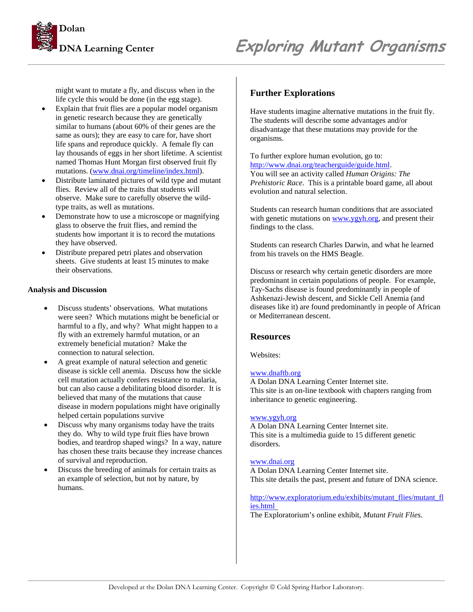

might want to mutate a fly, and discuss when in the life cycle this would be done (in the egg stage).

- Explain that fruit flies are a popular model organism in genetic research because they are genetically similar to humans (about 60% of their genes are the same as ours); they are easy to care for, have short life spans and reproduce quickly. A female fly can lay thousands of eggs in her short lifetime. A scientist named Thomas Hunt Morgan first observed fruit fly mutations. ([www.dnai.org/timeline/index.html](http://www.dnai.org/timeline/index.html)).
- Distribute laminated pictures of wild type and mutant flies. Review all of the traits that students will observe. Make sure to carefully observe the wildtype traits, as well as mutations.
- Demonstrate how to use a microscope or magnifying glass to observe the fruit flies, and remind the students how important it is to record the mutations they have observed.
- Distribute prepared petri plates and observation sheets. Give students at least 15 minutes to make their observations.

#### **Analysis and Discussion**

- Discuss students' observations. What mutations were seen? Which mutations might be beneficial or harmful to a fly, and why? What might happen to a fly with an extremely harmful mutation, or an extremely beneficial mutation? Make the connection to natural selection.
- A great example of natural selection and genetic disease is sickle cell anemia. Discuss how the sickle cell mutation actually confers resistance to malaria, but can also cause a debilitating blood disorder. It is believed that many of the mutations that cause disease in modern populations might have originally helped certain populations survive
- Discuss why many organisms today have the traits they do. Why to wild type fruit flies have brown bodies, and teardrop shaped wings? In a way, nature has chosen these traits because they increase chances of survival and reproduction.
- Discuss the breeding of animals for certain traits as an example of selection, but not by nature, by humans.

### **Further Explorations**

*\_\_\_\_\_\_\_\_\_\_\_\_\_\_\_\_\_\_\_\_\_\_\_\_\_\_\_\_\_\_\_\_\_\_\_\_\_\_\_\_\_\_\_\_\_\_\_\_\_\_\_\_\_\_\_\_\_\_\_\_\_\_\_\_\_\_\_\_\_\_\_\_\_\_\_\_\_\_\_\_\_\_\_\_\_\_\_\_\_\_* 

Have students imagine alternative mutations in the fruit fly. The students will describe some advantages and/or disadvantage that these mutations may provide for the organisms.

To further explore human evolution, go to: [http://www.dnai.org/teacherguide/guide.html.](http://www.dnai.org/teacherguide/guide.html) You will see an activity called *Human Origins: The Prehistoric Race*. This is a printable board game, all about evolution and natural selection.

Students can research human conditions that are associated with genetic mutations on [www.ygyh.org](http://www.ygyh.org/), and present their findings to the class.

Students can research Charles Darwin, and what he learned from his travels on the HMS Beagle.

Discuss or research why certain genetic disorders are more predominant in certain populations of people. For example, Tay-Sachs disease is found predominantly in people of Ashkenazi-Jewish descent, and Sickle Cell Anemia (and diseases like it) are found predominantly in people of African or Mediterranean descent.

#### **Resources**

Websites:

#### [www.dnaftb.org](http://www.dnaftb.org/)

A Dolan DNA Learning Center Internet site. This site is an on-line textbook with chapters ranging from inheritance to genetic engineering.

#### [www.ygyh.org](http://www.ygyh.org/)

A Dolan DNA Learning Center Internet site. This site is a multimedia guide to 15 different genetic disorders.

#### [www.dnai.org](http://www.dnai.org/)

A Dolan DNA Learning Center Internet site. This site details the past, present and future of DNA science.

[http://www.exploratorium.edu/exhibits/mutant\\_flies/mutant\\_fl](http://www.exploratorium.edu/exhibits/mutant_flies/mutant_flies.html) [ies.html](http://www.exploratorium.edu/exhibits/mutant_flies/mutant_flies.html)

The Exploratorium's online exhibit, *Mutant Fruit Flies.*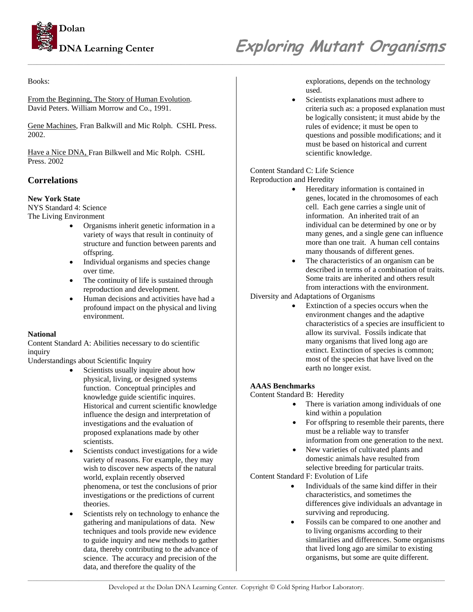

# **DNA Learning Center Exploring Mutant Organisms**

#### Books:

From the Beginning, The Story of Human Evolution. David Peters. William Morrow and Co., 1991.

Gene Machines, Fran Balkwill and Mic Rolph. CSHL Press. 2002.

Have a Nice DNA, Fran Bilkwell and Mic Rolph. CSHL Press. 2002

### **Correlations**

#### **New York State**

NYS Standard 4: Science The Living Environment

- Organisms inherit genetic information in a variety of ways that result in continuity of structure and function between parents and offspring.
- Individual organisms and species change over time.
- The continuity of life is sustained through reproduction and development.
- Human decisions and activities have had a profound impact on the physical and living environment.

#### **National**

Content Standard A: Abilities necessary to do scientific inquiry

Understandings about Scientific Inquiry

- Scientists usually inquire about how physical, living, or designed systems function. Conceptual principles and knowledge guide scientific inquires. Historical and current scientific knowledge influence the design and interpretation of investigations and the evaluation of proposed explanations made by other scientists.
- Scientists conduct investigations for a wide variety of reasons. For example, they may wish to discover new aspects of the natural world, explain recently observed phenomena, or test the conclusions of prior investigations or the predictions of current theories.
- Scientists rely on technology to enhance the gathering and manipulations of data. New techniques and tools provide new evidence to guide inquiry and new methods to gather data, thereby contributing to the advance of science. The accuracy and precision of the data, and therefore the quality of the

explorations, depends on the technology used.

Scientists explanations must adhere to criteria such as: a proposed explanation must be logically consistent; it must abide by the rules of evidence; it must be open to questions and possible modifications; and it must be based on historical and current scientific knowledge.

#### Content Standard C: Life Science Reproduction and Heredity

*\_\_\_\_\_\_\_\_\_\_\_\_\_\_\_\_\_\_\_\_\_\_\_\_\_\_\_\_\_\_\_\_\_\_\_\_\_\_\_\_\_\_\_\_\_\_\_\_\_\_\_\_\_\_\_\_\_\_\_\_\_\_\_\_\_\_\_\_\_\_\_\_\_\_\_\_\_\_\_\_\_\_\_\_\_\_\_\_\_\_* 

- Hereditary information is contained in genes, located in the chromosomes of each cell. Each gene carries a single unit of information. An inherited trait of an individual can be determined by one or by many genes, and a single gene can influence more than one trait. A human cell contains many thousands of different genes.
- The characteristics of an organism can be described in terms of a combination of traits. Some traits are inherited and others result from interactions with the environment.
- Diversity and Adaptations of Organisms
	- Extinction of a species occurs when the environment changes and the adaptive characteristics of a species are insufficient to allow its survival. Fossils indicate that many organisms that lived long ago are extinct. Extinction of species is common; most of the species that have lived on the earth no longer exist.

#### **AAAS Benchmarks**

Content Standard B: Heredity

- There is variation among individuals of one kind within a population
- For offspring to resemble their parents, there must be a reliable way to transfer information from one generation to the next.
- New varieties of cultivated plants and domestic animals have resulted from selective breeding for particular traits.

Content Standard F: Evolution of Life

- Individuals of the same kind differ in their characteristics, and sometimes the differences give individuals an advantage in surviving and reproducing.
- Fossils can be compared to one another and to living organisms according to their similarities and differences. Some organisms that lived long ago are similar to existing organisms, but some are quite different.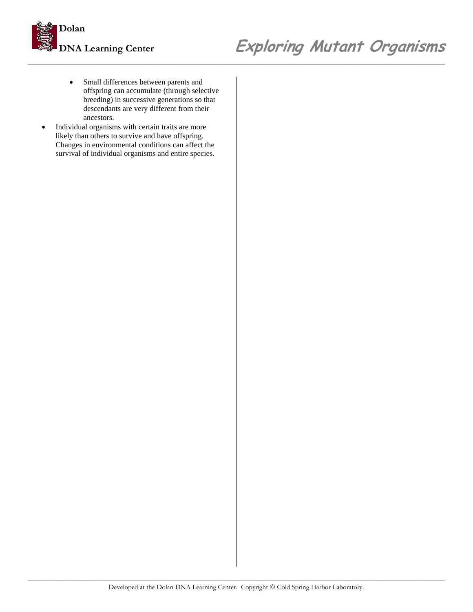

• Small differences between parents and offspring can accumulate (through selective breeding) in successive generations so that descendants are very different from their ancestors.

*\_\_\_\_\_\_\_\_\_\_\_\_\_\_\_\_\_\_\_\_\_\_\_\_\_\_\_\_\_\_\_\_\_\_\_\_\_\_\_\_\_\_\_\_\_\_\_\_\_\_\_\_\_\_\_\_\_\_\_\_\_\_\_\_\_\_\_\_\_\_\_\_\_\_\_\_\_\_\_\_\_\_\_\_\_\_\_\_\_\_* 

• Individual organisms with certain traits are more likely than others to survive and have offspring. Changes in environmental conditions can affect the survival of individual organisms and entire species.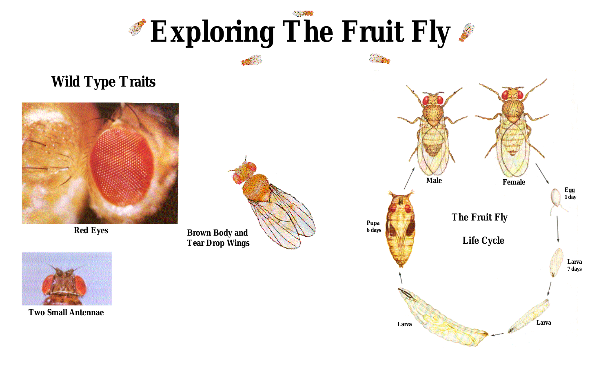# **Exploring The Fruit Fly**

# **Wild Type Traits**





**Two Small Antennae**



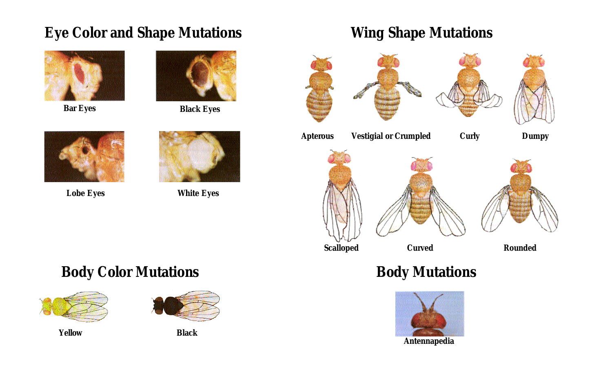# **Eye Color and Shape Mutations**





**Bar Eyes Black Eyes**





**Lobe Eyes White Eyes**

# **Wing Shape Mutations**



**Scalloped Curved Rounded**

# **Body Mutations**





**Antennapedia**

# **Body Color Mutations**





**Yellow Black**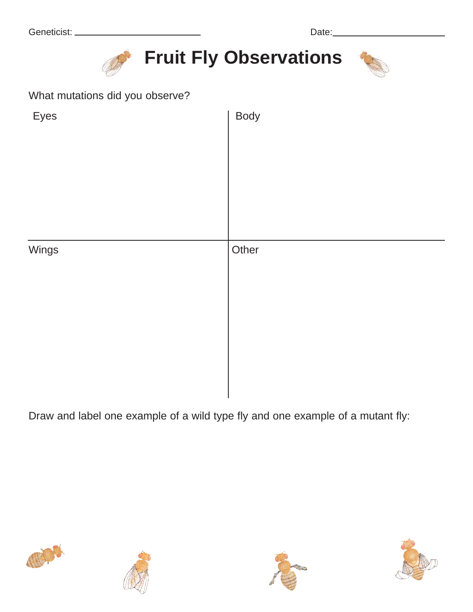| Geneticist: | Date: |
|-------------|-------|
|             |       |



Draw and label one example of a wild type fly and one example of a mutant fly:







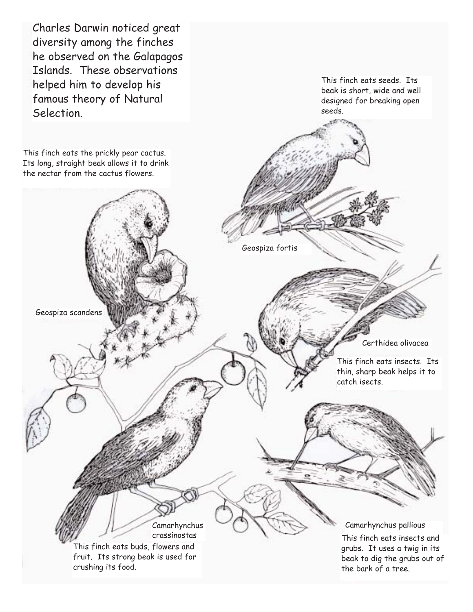Charles Darwin noticed great diversity among the finches he observed on the Galapagos Islands. These observations helped him to develop his famous theory of Natural **Selection** This finch eats the prickly pear cactus. Its long, straight beak allows it to drink the nectar from the cactus flowers. This finch eats seeds. Its beak is short, wide and well designed for breaking open seeds. Geospiza fortis Geospiza scandens Certhidea olivacea This finch eats insects. Its thin, sharp beak helps it to catch isects. Camarhynchus crassinostas This finch eats buds, flowers and fruit. Its strong beak is used for crushing its food. Camarhynchus pallious This finch eats insects and grubs. It uses a twig in its beak to dig the grubs out of the bark of a tree.